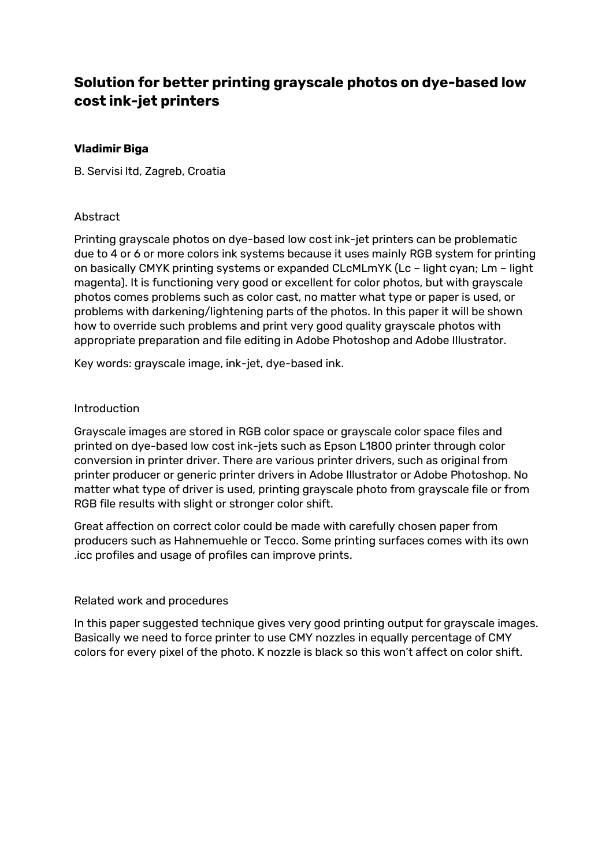# **Solution for better printing grayscale photos on dye-based low cost ink-jet printers**

# **Vladimir Biga**

B. Servisi ltd, Zagreb, Croatia

# Abstract

Printing grayscale photos on dye-based low cost ink-jet printers can be problematic due to 4 or 6 or more colors ink systems because it uses mainly RGB system for printing on basically CMYK printing systems or expanded CLcMLmYK (Lc – light cyan; Lm – light magenta). It is functioning very good or excellent for color photos, but with grayscale photos comes problems such as color cast, no matter what type or paper is used, or problems with darkening/lightening parts of the photos. In this paper it will be shown how to override such problems and print very good quality grayscale photos with appropriate preparation and file editing in Adobe Photoshop and Adobe Illustrator.

Key words: grayscale image, ink-jet, dye-based ink.

## Introduction

Grayscale images are stored in RGB color space or grayscale color space files and printed on dye-based low cost ink-jets such as Epson L1800 printer through color conversion in printer driver. There are various printer drivers, such as original from printer producer or generic printer drivers in Adobe Illustrator or Adobe Photoshop. No matter what type of driver is used, printing grayscale photo from grayscale file or from RGB file results with slight or stronger color shift.

Great affection on correct color could be made with carefully chosen paper from producers such as Hahnemuehle or Tecco. Some printing surfaces comes with its own .icc profiles and usage of profiles can improve prints.

### Related work and procedures

In this paper suggested technique gives very good printing output for grayscale images. Basically we need to force printer to use CMY nozzles in equally percentage of CMY colors for every pixel of the photo. K nozzle is black so this won't affect on color shift.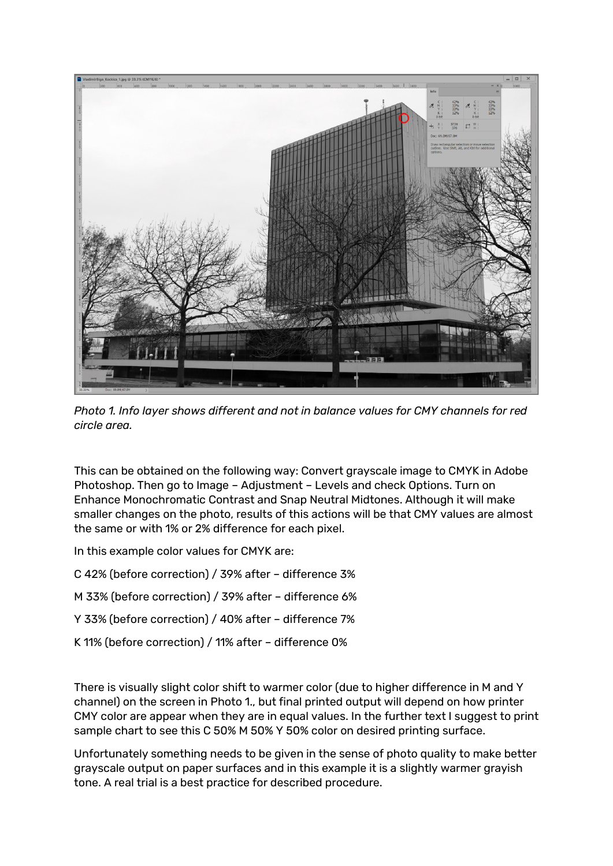

*Photo 1. Info layer shows different and not in balance values for CMY channels for red circle area.*

This can be obtained on the following way: Convert grayscale image to CMYK in Adobe Photoshop. Then go to Image – Adjustment – Levels and check Options. Turn on Enhance Monochromatic Contrast and Snap Neutral Midtones. Although it will make smaller changes on the photo, results of this actions will be that CMY values are almost the same or with 1% or 2% difference for each pixel.

In this example color values for CMYK are:

- C 42% (before correction) / 39% after difference 3%
- M 33% (before correction) / 39% after difference 6%
- Y 33% (before correction) / 40% after difference 7%
- K 11% (before correction) / 11% after difference 0%

There is visually slight color shift to warmer color (due to higher difference in M and Y channel) on the screen in Photo 1., but final printed output will depend on how printer CMY color are appear when they are in equal values. In the further text I suggest to print sample chart to see this C 50% M 50% Y 50% color on desired printing surface.

Unfortunately something needs to be given in the sense of photo quality to make better grayscale output on paper surfaces and in this example it is a slightly warmer grayish tone. A real trial is a best practice for described procedure.